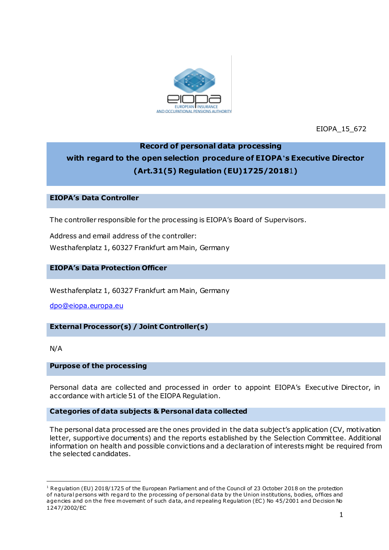

EIOPA\_15\_672

# **Record of personal data processing with regard to the open selection procedure of EIOPA's Executive Director (Art.31(5) Regulation (EU)1725/2018**1**)**

## **EIOPA's Data Controller**

The controller responsible for the processing is EIOPA's Board of Supervisors.

Address and email address of the controller: Westhafenplatz 1, 60327 Frankfurt am Main, Germany

## **EIOPA's Data Protection Officer**

Westhafenplatz 1, 60327 Frankfurt am Main, Germany

[dpo@eiopa.europa.eu](mailto:dpo@eiopa.europa.eu)

## **External Processor(s) / Joint Controller(s)**

N/A

.

#### **Purpose of the processing**

Personal data are collected and processed in order to appoint EIOPA's Executive Director, in accordance with article 51 of the EIOPA Regulation.

#### **Categories of data subjects & Personal data collected**

The personal data processed are the ones provided in the data subject's application (CV, motivation letter, supportive documents) and the reports established by the Selection Committee. Additional information on health and possible convictions and a declaration of interests might be required from the selected candidates.

 $1$  Regulation (EU) 2018/1725 of the European Parliament and of the Council of 23 October 2018 on the protection of natural persons with regard to the processing of personal data by the Union institutions, bodies, offices and agencies and on the free movement of such data, and repealing Regulation (EC) No 45/2001 and Decision No 1247/2002/EC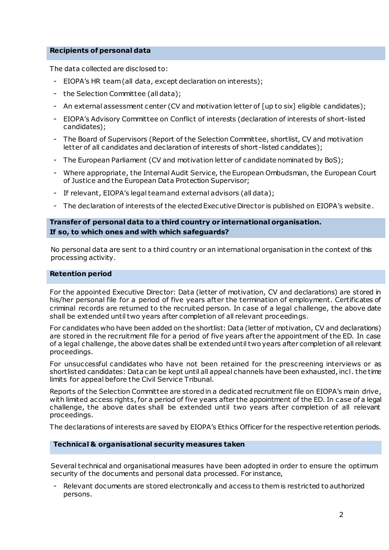## **Recipients of personal data**

The data collected are disclosed to:

- EIOPA's HR team (all data, except declaration on interests);
- the Selection Committee (all data);
- An external assessment center (CV and motivation letter of [up to six] eligible candidates);
- EIOPA's Advisory Committee on Conflict of interests (declaration of interests of short-listed candidates);
- The Board of Supervisors (Report of the Selection Committee, shortlist, CV and motivation letter of all candidates and declaration of interests of short-listed candidates);
- The European Parliament (CV and motivation letter of candidate nominated by BoS);
- Where appropriate, the Internal Audit Service, the European Ombudsman, the European Court of Justice and the European Data Protection Supervisor;
- If relevant, EIOPA's legal team and external advisors (all data);
- The declaration of interests of the elected Executive Director is published on EIOPA's website.

## **Transfer of personal data to a third country or international organisation. If so, to which ones and with which safeguards?**

No personal data are sent to a third country or an international organisation in the context of this processing activity.

#### **Retention period**

For the appointed Executive Director: Data (letter of motivation, CV and declarations) are stored in his/her personal file for a period of five years after the termination of employment. Certificates of criminal records are returned to the recruited person. In case of a legal challenge, the above date shall be extended until two years after completion of all relevant proceedings.

For candidates who have been added on the shortlist: Data (letter of motivation, CV and declarations) are stored in the recruitment file for a period of five years after the appointment of the ED. In case of a legal challenge, the above dates shall be extended until two years after completion of all relevant proceedings.

For unsuccessful candidates who have not been retained for the prescreening interviews or as shortlisted candidates: Data can be kept until all appeal channels have been exhausted, incl. the time limits for appeal before the Civil Service Tribunal.

Reports of the Selection Committee are stored in a dedicated recruitment file on EIOPA's main drive, with limited access rights, for a period of five years after the appointment of the ED. In case of a legal challenge, the above dates shall be extended until two years after completion of all relevant proceedings.

The declarations of interests are saved by EIOPA's Ethics Officer for the respective retention periods.

#### **Technical & organisational security measures taken**

Several technical and organisational measures have been adopted in order to ensure the optimum security of the documents and personal data processed. For instance,

- Relevant documents are stored electronically and access to them is restricted to authorized persons.